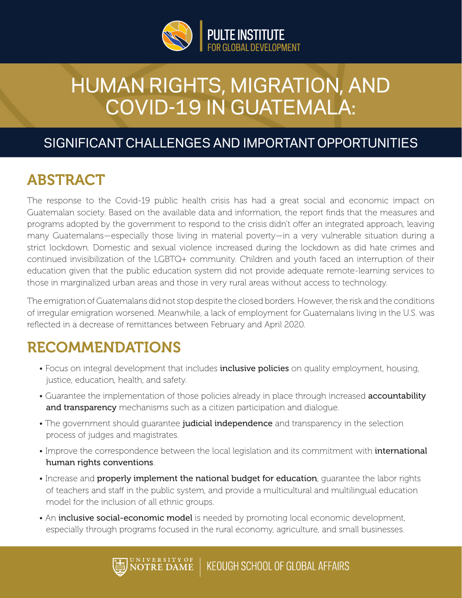

# HUMAN RIGHTS, MIGRATION, AND COVID-19 IN GUATEMALA:

#### SIGNIFICANT CHALLENGES AND IMPORTANT OPPORTUNITIES

## ABSTRACT

The response to the Covid-19 public health crisis has had a great social and economic impact on Guatemalan society. Based on the available data and information, the report finds that the measures and programs adopted by the government to respond to the crisis didn't offer an integrated approach, leaving many Guatemalans—especially those living in material poverty—in a very vulnerable situation during a strict lockdown. Domestic and sexual violence increased during the lockdown as did hate crimes and continued invisibilization of the LGBTQ+ community. Children and youth faced an interruption of their education given that the public education system did not provide adequate remote-learning services to those in marginalized urban areas and those in very rural areas without access to technology.

The emigration of Guatemalans did not stop despite the closed borders. However, the risk and the conditions of irregular emigration worsened. Meanwhile, a lack of employment for Guatemalans living in the U.S. was reflected in a decrease of remittances between February and April 2020.

## RECOMMENDATIONS

- Focus on integral development that includes **inclusive policies** on quality employment, housing, justice, education, health, and safety.
- Guarantee the implementation of those policies already in place through increased **accountability** and transparency mechanisms such as a citizen participation and dialoque.
- The government should guarantee judicial independence and transparency in the selection process of judges and magistrates.
- Improve the correspondence between the local legislation and its commitment with *international* human rights conventions.
- Increase and properly implement the national budget for education, quarantee the labor rights of teachers and staff in the public system, and provide a multicultural and multilingual education model for the inclusion of all ethnic groups.
- An **inclusive social-economic model** is needed by promoting local economic development, especially through programs focused in the rural economy, agriculture, and small businesses.